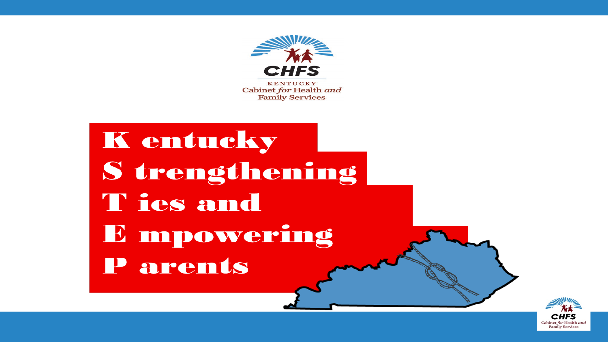

K entucky S trengthening T ies and E mpowering P arents

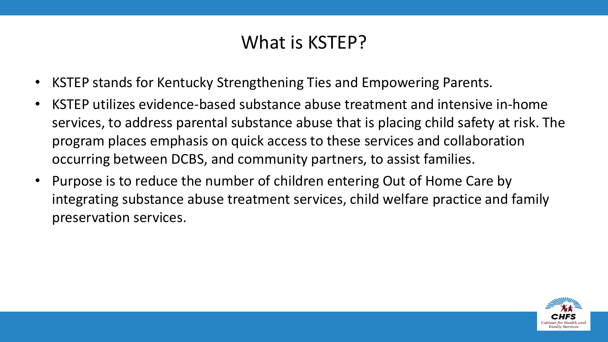#### What is KSTEP?

- KSTEP stands for Kentucky Strengthening Ties and Empowering Parents.
- KSTEP utilizes evidence-based substance abuse treatment and intensive in-home services, to address parental substance abuse that is placing child safety at risk. The program places emphasis on quick access to these services and collaboration occurring between DCBS, and community partners, to assist families.
- Purpose is to reduce the number of children entering Out of Home Care by integrating substance abuse treatment services, child welfare practice and family preservation services.

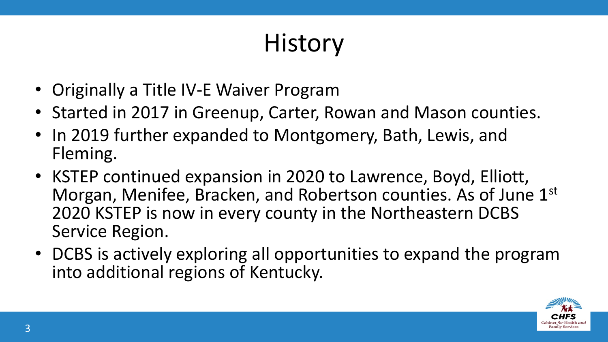# **History**

- Originally a Title IV-E Waiver Program
- Started in 2017 in Greenup, Carter, Rowan and Mason counties.
- In 2019 further expanded to Montgomery, Bath, Lewis, and Fleming.
- KSTEP continued expansion in 2020 to Lawrence, Boyd, Elliott, Morgan, Menifee, Bracken, and Robertson counties. As of June 1st 2020 KSTEP is now in every county in the Northeastern DCBS Service Region.
- DCBS is actively exploring all opportunities to expand the program into additional regions of Kentucky.

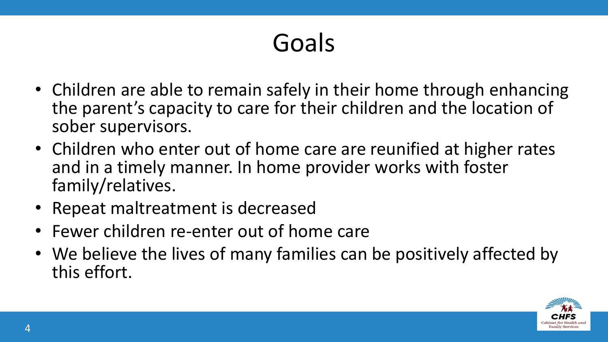# Goals

- Children are able to remain safely in their home through enhancing the parent's capacity to care for their children and the location of sober supervisors.
- Children who enter out of home care are reunified at higher rates and in a timely manner. In home provider works with foster family/relatives.
- Repeat maltreatment is decreased
- Fewer children re-enter out of home care
- We believe the lives of many families can be positively affected by this effort.

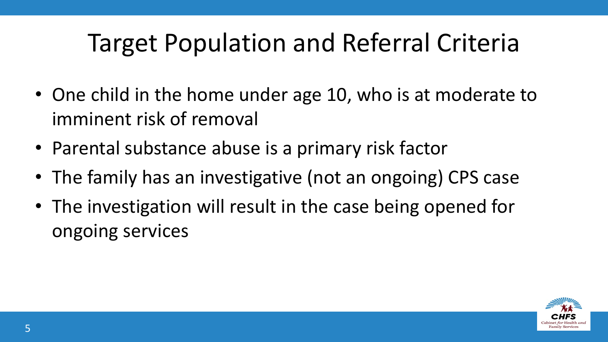# Target Population and Referral Criteria

- One child in the home under age 10, who is at moderate to imminent risk of removal
- Parental substance abuse is a primary risk factor
- The family has an investigative (not an ongoing) CPS case
- The investigation will result in the case being opened for ongoing services

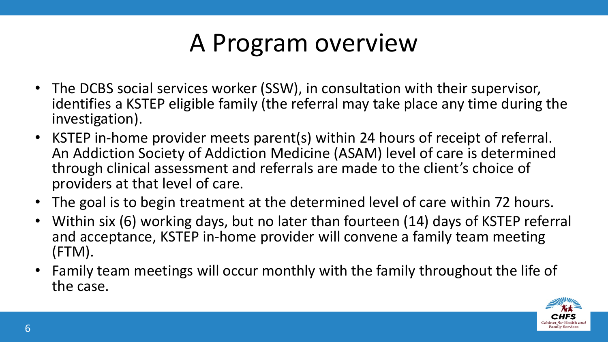# A Program overview

- The DCBS social services worker (SSW), in consultation with their supervisor, identifies a KSTEP eligible family (the referral may take place any time during the investigation).
- KSTEP in-home provider meets parent(s) within 24 hours of receipt of referral. An Addiction Society of Addiction Medicine (ASAM) level of care is determined through clinical assessment and referrals are made to the client's choice of providers at that level of care.
- The goal is to begin treatment at the determined level of care within 72 hours.
- Within six (6) working days, but no later than fourteen (14) days of KSTEP referral and acceptance, KSTEP in-home provider will convene a family team meeting (FTM).
- Family team meetings will occur monthly with the family throughout the life of the case.

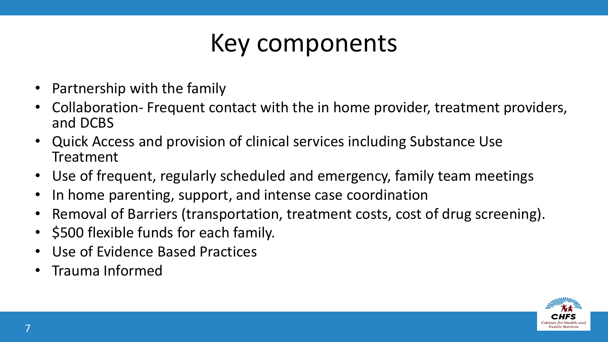# Key components

- Partnership with the family
- Collaboration- Frequent contact with the in home provider, treatment providers, and DCBS
- Quick Access and provision of clinical services including Substance Use Treatment
- Use of frequent, regularly scheduled and emergency, family team meetings
- In home parenting, support, and intense case coordination
- Removal of Barriers (transportation, treatment costs, cost of drug screening).
- \$500 flexible funds for each family.
- Use of Evidence Based Practices
- Trauma Informed

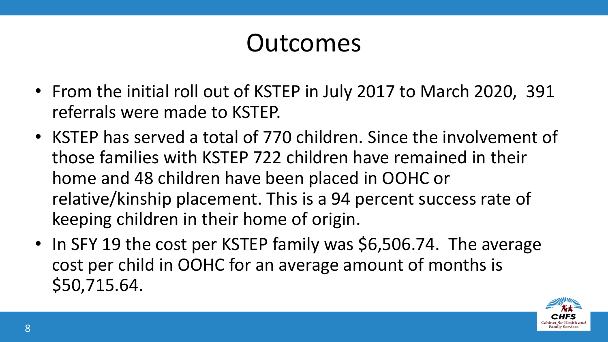### Outcomes

- From the initial roll out of KSTEP in July 2017 to March 2020, 391 referrals were made to KSTEP.
- KSTEP has served a total of 770 children. Since the involvement of those families with KSTEP 722 children have remained in their home and 48 children have been placed in OOHC or relative/kinship placement. This is a 94 percent success rate of keeping children in their home of origin.
- In SFY 19 the cost per KSTEP family was \$6,506.74. The average cost per child in OOHC for an average amount of months is \$50,715.64.

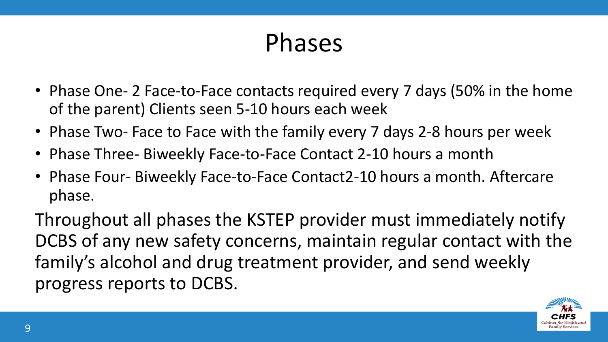### Phases

- Phase One- 2 Face-to-Face contacts required every 7 days (50% in the home of the parent) Clients seen 5-10 hours each week
- Phase Two- Face to Face with the family every 7 days 2-8 hours per week
- Phase Three- Biweekly Face-to-Face Contact 2-10 hours a month
- Phase Four- Biweekly Face-to-Face Contact2-10 hours a month. Aftercare phase.

Throughout all phases the KSTEP provider must immediately notify DCBS of any new safety concerns, maintain regular contact with the family's alcohol and drug treatment provider, and send weekly progress reports to DCBS.

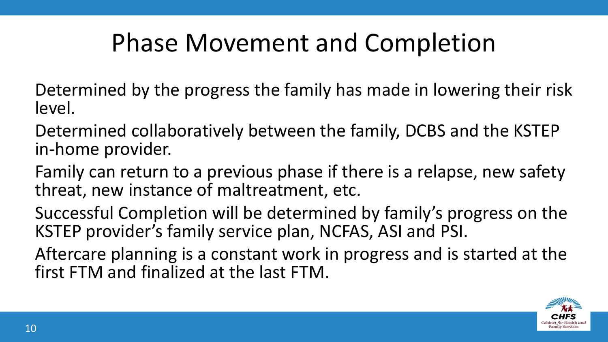# Phase Movement and Completion

Determined by the progress the family has made in lowering their risk level.

Determined collaboratively between the family, DCBS and the KSTEP in-home provider.

Family can return to a previous phase if there is a relapse, new safety threat, new instance of maltreatment, etc.

Successful Completion will be determined by family's progress on the KSTEP provider's family service plan, NCFAS, ASI and PSI.

Aftercare planning is a constant work in progress and is started at the first FTM and finalized at the last FTM.

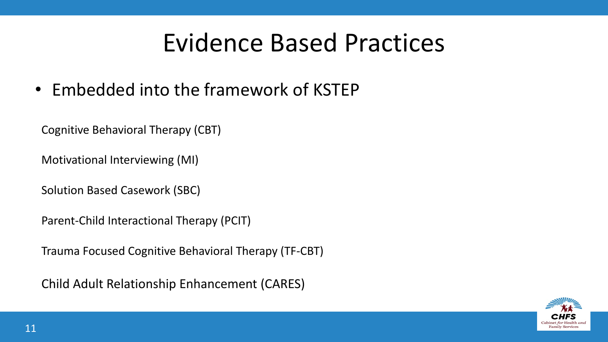#### Evidence Based Practices

• Embedded into the framework of KSTEP

Cognitive Behavioral Therapy (CBT)

Motivational Interviewing (MI)

Solution Based Casework (SBC)

Parent-Child Interactional Therapy (PCIT)

Trauma Focused Cognitive Behavioral Therapy (TF-CBT)

Child Adult Relationship Enhancement (CARES)

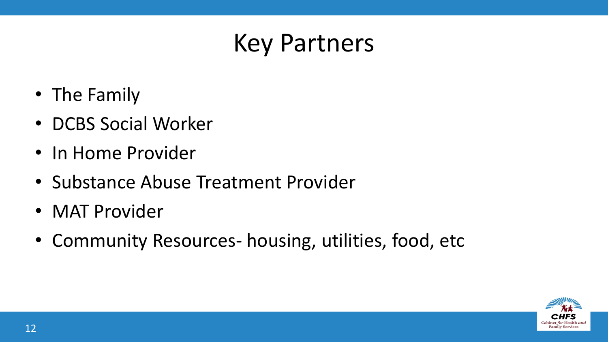## Key Partners

- The Family
- DCBS Social Worker
- In Home Provider
- Substance Abuse Treatment Provider
- MAT Provider
- Community Resources- housing, utilities, food, etc

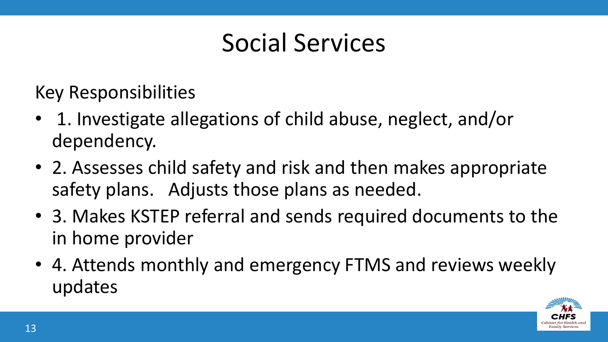### Social Services

Key Responsibilities

- 1. Investigate allegations of child abuse, neglect, and/or dependency.
- 2. Assesses child safety and risk and then makes appropriate safety plans. Adjusts those plans as needed.
- 3. Makes KSTEP referral and sends required documents to the in home provider
- 4. Attends monthly and emergency FTMS and reviews weekly updates

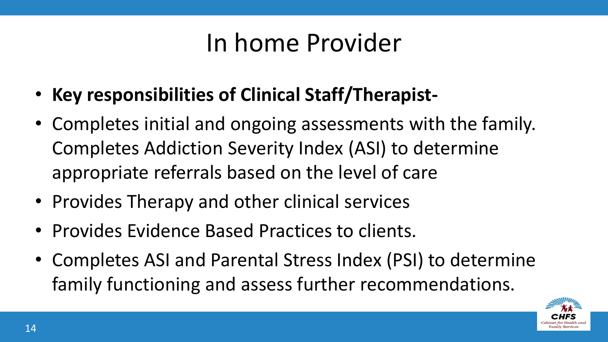### In home Provider

- **Key responsibilities of Clinical Staff/Therapist-**
- Completes initial and ongoing assessments with the family. Completes Addiction Severity Index (ASI) to determine appropriate referrals based on the level of care
- Provides Therapy and other clinical services
- Provides Evidence Based Practices to clients.
- Completes ASI and Parental Stress Index (PSI) to determine family functioning and assess further recommendations.

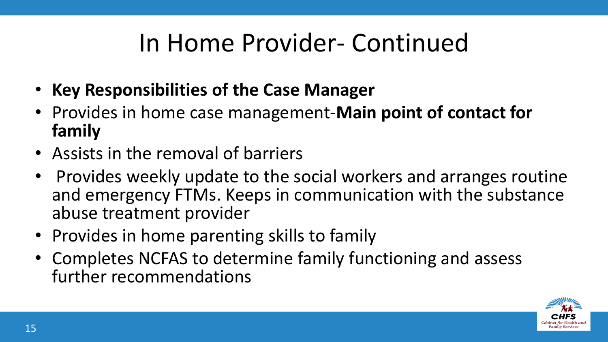# In Home Provider- Continued

- **Key Responsibilities of the Case Manager**
- Provides in home case management-**Main point of contact for family**
- Assists in the removal of barriers
- Provides weekly update to the social workers and arranges routine and emergency FTMs. Keeps in communication with the substance abuse treatment provider
- Provides in home parenting skills to family
- Completes NCFAS to determine family functioning and assess further recommendations

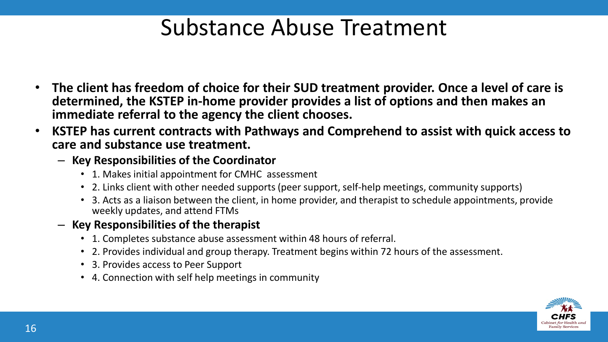#### Substance Abuse Treatment

- **The client has freedom of choice for their SUD treatment provider. Once a level of care is determined, the KSTEP in-home provider provides a list of options and then makes an immediate referral to the agency the client chooses.**
- **KSTEP has current contracts with Pathways and Comprehend to assist with quick access to care and substance use treatment.** 
	- **Key Responsibilities of the Coordinator**
		- 1. Makes initial appointment for CMHC assessment
		- 2. Links client with other needed supports (peer support, self-help meetings, community supports)
		- 3. Acts as a liaison between the client, in home provider, and therapist to schedule appointments, provide weekly updates, and attend FTMs
	- **Key Responsibilities of the therapist** 
		- 1. Completes substance abuse assessment within 48 hours of referral.
		- 2. Provides individual and group therapy. Treatment begins within 72 hours of the assessment.
		- 3. Provides access to Peer Support
		- 4. Connection with self help meetings in community

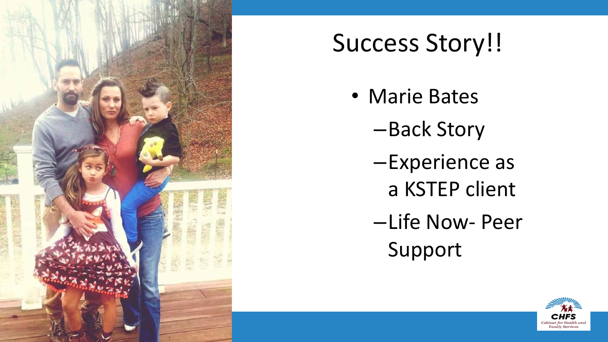

# Success Story!!

- Marie Bates
	- –Back Story
	- –Experience as a KSTEP client
	- –Life Now Peer Support